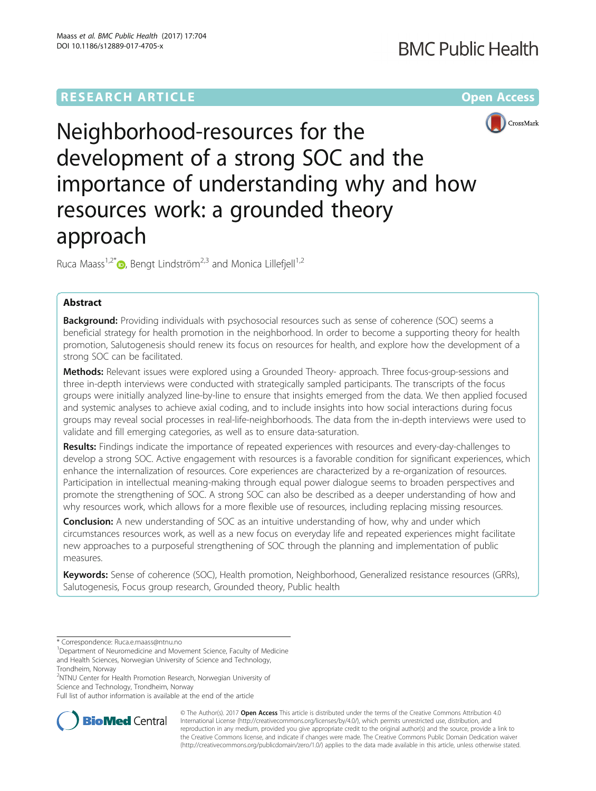

Neighborhood-resources for the development of a strong SOC and the importance of understanding why and how resources work: a grounded theory approach

Ruca Maass<sup>1,2\*</sup> $\bullet$ , Bengt Lindström<sup>2,3</sup> and Monica Lillefiell<sup>1,2</sup>

# Abstract

**Background:** Providing individuals with psychosocial resources such as sense of coherence (SOC) seems a beneficial strategy for health promotion in the neighborhood. In order to become a supporting theory for health promotion, Salutogenesis should renew its focus on resources for health, and explore how the development of a strong SOC can be facilitated.

Methods: Relevant issues were explored using a Grounded Theory- approach. Three focus-group-sessions and three in-depth interviews were conducted with strategically sampled participants. The transcripts of the focus groups were initially analyzed line-by-line to ensure that insights emerged from the data. We then applied focused and systemic analyses to achieve axial coding, and to include insights into how social interactions during focus groups may reveal social processes in real-life-neighborhoods. The data from the in-depth interviews were used to validate and fill emerging categories, as well as to ensure data-saturation.

Results: Findings indicate the importance of repeated experiences with resources and every-day-challenges to develop a strong SOC. Active engagement with resources is a favorable condition for significant experiences, which enhance the internalization of resources. Core experiences are characterized by a re-organization of resources. Participation in intellectual meaning-making through equal power dialogue seems to broaden perspectives and promote the strengthening of SOC. A strong SOC can also be described as a deeper understanding of how and why resources work, which allows for a more flexible use of resources, including replacing missing resources.

**Conclusion:** A new understanding of SOC as an intuitive understanding of how, why and under which circumstances resources work, as well as a new focus on everyday life and repeated experiences might facilitate new approaches to a purposeful strengthening of SOC through the planning and implementation of public measures.

Keywords: Sense of coherence (SOC), Health promotion, Neighborhood, Generalized resistance resources (GRRs), Salutogenesis, Focus group research, Grounded theory, Public health

Trondheim, Norway

2 NTNU Center for Health Promotion Research, Norwegian University of Science and Technology, Trondheim, Norway

Full list of author information is available at the end of the article



© The Author(s). 2017 **Open Access** This article is distributed under the terms of the Creative Commons Attribution 4.0 International License [\(http://creativecommons.org/licenses/by/4.0/](http://creativecommons.org/licenses/by/4.0/)), which permits unrestricted use, distribution, and reproduction in any medium, provided you give appropriate credit to the original author(s) and the source, provide a link to the Creative Commons license, and indicate if changes were made. The Creative Commons Public Domain Dedication waiver [\(http://creativecommons.org/publicdomain/zero/1.0/](http://creativecommons.org/publicdomain/zero/1.0/)) applies to the data made available in this article, unless otherwise stated.

<sup>\*</sup> Correspondence: [Ruca.e.maass@ntnu.no](mailto:Ruca.e.maass@ntnu.no) <sup>1</sup>

<sup>&</sup>lt;sup>1</sup>Department of Neuromedicine and Movement Science, Faculty of Medicine and Health Sciences, Norwegian University of Science and Technology,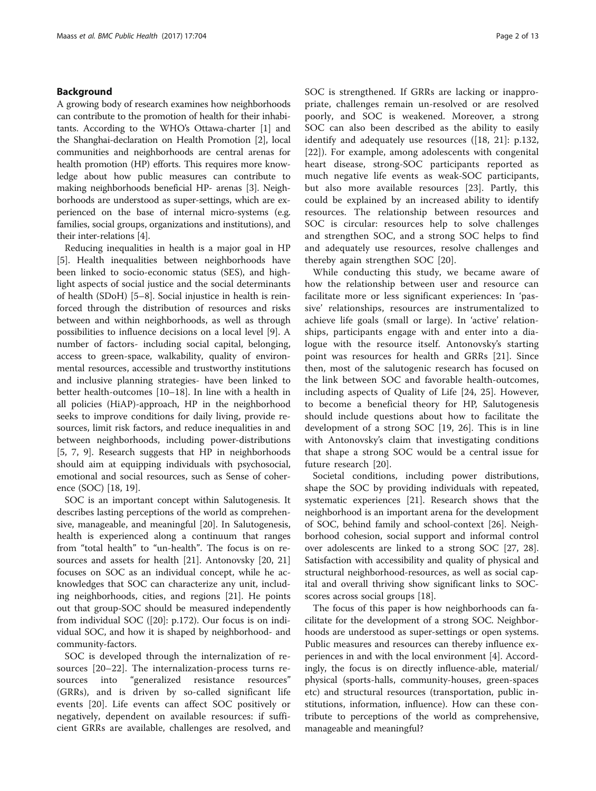## Background

A growing body of research examines how neighborhoods can contribute to the promotion of health for their inhabitants. According to the WHO's Ottawa-charter [\[1\]](#page-11-0) and the Shanghai-declaration on Health Promotion [[2\]](#page-11-0), local communities and neighborhoods are central arenas for health promotion (HP) efforts. This requires more knowledge about how public measures can contribute to making neighborhoods beneficial HP- arenas [\[3\]](#page-11-0). Neighborhoods are understood as super-settings, which are experienced on the base of internal micro-systems (e.g. families, social groups, organizations and institutions), and their inter-relations [\[4\]](#page-11-0).

Reducing inequalities in health is a major goal in HP [[5\]](#page-11-0). Health inequalities between neighborhoods have been linked to socio-economic status (SES), and highlight aspects of social justice and the social determinants of health (SDoH) [[5](#page-11-0)–[8](#page-11-0)]. Social injustice in health is reinforced through the distribution of resources and risks between and within neighborhoods, as well as through possibilities to influence decisions on a local level [[9\]](#page-11-0). A number of factors- including social capital, belonging, access to green-space, walkability, quality of environmental resources, accessible and trustworthy institutions and inclusive planning strategies- have been linked to better health-outcomes [\[10](#page-11-0)–[18\]](#page-11-0). In line with a health in all policies (HiAP)-approach, HP in the neighborhood seeks to improve conditions for daily living, provide resources, limit risk factors, and reduce inequalities in and between neighborhoods, including power-distributions [[5, 7, 9](#page-11-0)]. Research suggests that HP in neighborhoods should aim at equipping individuals with psychosocial, emotional and social resources, such as Sense of coherence (SOC) [\[18, 19\]](#page-11-0).

SOC is an important concept within Salutogenesis. It describes lasting perceptions of the world as comprehensive, manageable, and meaningful [[20](#page-11-0)]. In Salutogenesis, health is experienced along a continuum that ranges from "total health" to "un-health". The focus is on re-sources and assets for health [\[21](#page-11-0)]. Antonovsky [\[20](#page-11-0), [21](#page-11-0)] focuses on SOC as an individual concept, while he acknowledges that SOC can characterize any unit, including neighborhoods, cities, and regions [\[21](#page-11-0)]. He points out that group-SOC should be measured independently from individual SOC ([[20\]](#page-11-0): p.172). Our focus is on individual SOC, and how it is shaped by neighborhood- and community-factors.

SOC is developed through the internalization of resources [[20](#page-11-0)–[22\]](#page-11-0). The internalization-process turns resources into "generalized resistance resources" (GRRs), and is driven by so-called significant life events [[20\]](#page-11-0). Life events can affect SOC positively or negatively, dependent on available resources: if sufficient GRRs are available, challenges are resolved, and SOC is strengthened. If GRRs are lacking or inappropriate, challenges remain un-resolved or are resolved poorly, and SOC is weakened. Moreover, a strong SOC can also been described as the ability to easily identify and adequately use resources ([\[18](#page-11-0), [21\]](#page-11-0): p.132, [[22\]](#page-11-0)). For example, among adolescents with congenital heart disease, strong-SOC participants reported as much negative life events as weak-SOC participants, but also more available resources [\[23](#page-11-0)]. Partly, this could be explained by an increased ability to identify resources. The relationship between resources and SOC is circular: resources help to solve challenges and strengthen SOC, and a strong SOC helps to find and adequately use resources, resolve challenges and thereby again strengthen SOC [[20\]](#page-11-0).

While conducting this study, we became aware of how the relationship between user and resource can facilitate more or less significant experiences: In 'passive' relationships, resources are instrumentalized to achieve life goals (small or large). In 'active' relationships, participants engage with and enter into a dialogue with the resource itself. Antonovsky's starting point was resources for health and GRRs [[21\]](#page-11-0). Since then, most of the salutogenic research has focused on the link between SOC and favorable health-outcomes, including aspects of Quality of Life [[24](#page-11-0), [25](#page-11-0)]. However, to become a beneficial theory for HP, Salutogenesis should include questions about how to facilitate the development of a strong SOC [\[19](#page-11-0), [26\]](#page-11-0). This is in line with Antonovsky's claim that investigating conditions that shape a strong SOC would be a central issue for future research [[20\]](#page-11-0).

Societal conditions, including power distributions, shape the SOC by providing individuals with repeated, systematic experiences [\[21](#page-11-0)]. Research shows that the neighborhood is an important arena for the development of SOC, behind family and school-context [\[26\]](#page-11-0). Neighborhood cohesion, social support and informal control over adolescents are linked to a strong SOC [[27](#page-11-0), [28](#page-11-0)]. Satisfaction with accessibility and quality of physical and structural neighborhood-resources, as well as social capital and overall thriving show significant links to SOCscores across social groups [[18](#page-11-0)].

The focus of this paper is how neighborhoods can facilitate for the development of a strong SOC. Neighborhoods are understood as super-settings or open systems. Public measures and resources can thereby influence experiences in and with the local environment [\[4](#page-11-0)]. Accordingly, the focus is on directly influence-able, material/ physical (sports-halls, community-houses, green-spaces etc) and structural resources (transportation, public institutions, information, influence). How can these contribute to perceptions of the world as comprehensive, manageable and meaningful?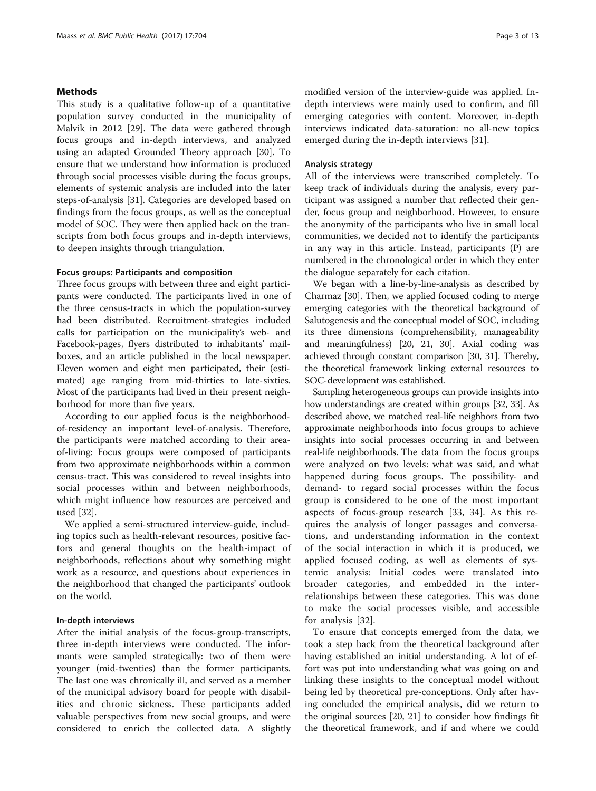## Methods

This study is a qualitative follow-up of a quantitative population survey conducted in the municipality of Malvik in 2012 [\[29](#page-11-0)]. The data were gathered through focus groups and in-depth interviews, and analyzed using an adapted Grounded Theory approach [\[30](#page-11-0)]. To ensure that we understand how information is produced through social processes visible during the focus groups, elements of systemic analysis are included into the later steps-of-analysis [[31\]](#page-11-0). Categories are developed based on findings from the focus groups, as well as the conceptual model of SOC. They were then applied back on the transcripts from both focus groups and in-depth interviews, to deepen insights through triangulation.

## Focus groups: Participants and composition

Three focus groups with between three and eight participants were conducted. The participants lived in one of the three census-tracts in which the population-survey had been distributed. Recruitment-strategies included calls for participation on the municipality's web- and Facebook-pages, flyers distributed to inhabitants' mailboxes, and an article published in the local newspaper. Eleven women and eight men participated, their (estimated) age ranging from mid-thirties to late-sixties. Most of the participants had lived in their present neighborhood for more than five years.

According to our applied focus is the neighborhoodof-residency an important level-of-analysis. Therefore, the participants were matched according to their areaof-living: Focus groups were composed of participants from two approximate neighborhoods within a common census-tract. This was considered to reveal insights into social processes within and between neighborhoods, which might influence how resources are perceived and used [[32](#page-11-0)].

We applied a semi-structured interview-guide, including topics such as health-relevant resources, positive factors and general thoughts on the health-impact of neighborhoods, reflections about why something might work as a resource, and questions about experiences in the neighborhood that changed the participants' outlook on the world.

## In-depth interviews

After the initial analysis of the focus-group-transcripts, three in-depth interviews were conducted. The informants were sampled strategically: two of them were younger (mid-twenties) than the former participants. The last one was chronically ill, and served as a member of the municipal advisory board for people with disabilities and chronic sickness. These participants added valuable perspectives from new social groups, and were considered to enrich the collected data. A slightly modified version of the interview-guide was applied. Indepth interviews were mainly used to confirm, and fill emerging categories with content. Moreover, in-depth interviews indicated data-saturation: no all-new topics emerged during the in-depth interviews [[31\]](#page-11-0).

## Analysis strategy

All of the interviews were transcribed completely. To keep track of individuals during the analysis, every participant was assigned a number that reflected their gender, focus group and neighborhood. However, to ensure the anonymity of the participants who live in small local communities, we decided not to identify the participants in any way in this article. Instead, participants (P) are numbered in the chronological order in which they enter the dialogue separately for each citation.

We began with a line-by-line-analysis as described by Charmaz [\[30\]](#page-11-0). Then, we applied focused coding to merge emerging categories with the theoretical background of Salutogenesis and the conceptual model of SOC, including its three dimensions (comprehensibility, manageability and meaningfulness) [\[20, 21](#page-11-0), [30](#page-11-0)]. Axial coding was achieved through constant comparison [[30](#page-11-0), [31\]](#page-11-0). Thereby, the theoretical framework linking external resources to SOC-development was established.

Sampling heterogeneous groups can provide insights into how understandings are created within groups [[32](#page-11-0), [33\]](#page-11-0). As described above, we matched real-life neighbors from two approximate neighborhoods into focus groups to achieve insights into social processes occurring in and between real-life neighborhoods. The data from the focus groups were analyzed on two levels: what was said, and what happened during focus groups. The possibility- and demand- to regard social processes within the focus group is considered to be one of the most important aspects of focus-group research [[33, 34](#page-11-0)]. As this requires the analysis of longer passages and conversations, and understanding information in the context of the social interaction in which it is produced, we applied focused coding, as well as elements of systemic analysis: Initial codes were translated into broader categories, and embedded in the interrelationships between these categories. This was done to make the social processes visible, and accessible for analysis [[32\]](#page-11-0).

To ensure that concepts emerged from the data, we took a step back from the theoretical background after having established an initial understanding. A lot of effort was put into understanding what was going on and linking these insights to the conceptual model without being led by theoretical pre-conceptions. Only after having concluded the empirical analysis, did we return to the original sources [\[20](#page-11-0), [21](#page-11-0)] to consider how findings fit the theoretical framework, and if and where we could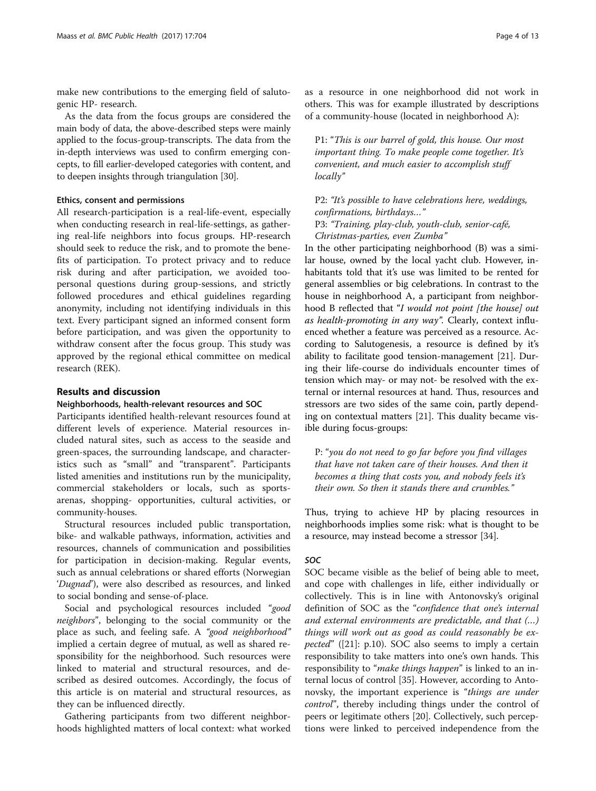make new contributions to the emerging field of salutogenic HP- research.

As the data from the focus groups are considered the main body of data, the above-described steps were mainly applied to the focus-group-transcripts. The data from the in-depth interviews was used to confirm emerging concepts, to fill earlier-developed categories with content, and to deepen insights through triangulation [[30](#page-11-0)].

## Ethics, consent and permissions

All research-participation is a real-life-event, especially when conducting research in real-life-settings, as gathering real-life neighbors into focus groups. HP-research should seek to reduce the risk, and to promote the benefits of participation. To protect privacy and to reduce risk during and after participation, we avoided toopersonal questions during group-sessions, and strictly followed procedures and ethical guidelines regarding anonymity, including not identifying individuals in this text. Every participant signed an informed consent form before participation, and was given the opportunity to withdraw consent after the focus group. This study was approved by the regional ethical committee on medical research (REK).

# Results and discussion

## Neighborhoods, health-relevant resources and SOC

Participants identified health-relevant resources found at different levels of experience. Material resources included natural sites, such as access to the seaside and green-spaces, the surrounding landscape, and characteristics such as "small" and "transparent". Participants listed amenities and institutions run by the municipality, commercial stakeholders or locals, such as sportsarenas, shopping- opportunities, cultural activities, or community-houses.

Structural resources included public transportation, bike- and walkable pathways, information, activities and resources, channels of communication and possibilities for participation in decision-making. Regular events, such as annual celebrations or shared efforts (Norwegian 'Dugnad'), were also described as resources, and linked to social bonding and sense-of-place.

Social and psychological resources included "good neighbors", belonging to the social community or the place as such, and feeling safe. A "good neighborhood" implied a certain degree of mutual, as well as shared responsibility for the neighborhood. Such resources were linked to material and structural resources, and described as desired outcomes. Accordingly, the focus of this article is on material and structural resources, as they can be influenced directly.

Gathering participants from two different neighborhoods highlighted matters of local context: what worked as a resource in one neighborhood did not work in others. This was for example illustrated by descriptions of a community-house (located in neighborhood A):

P1: "This is our barrel of gold, this house. Our most important thing. To make people come together. It's convenient, and much easier to accomplish stuff locally"

P2: "It's possible to have celebrations here, weddings, confirmations, birthdays…" P3: "Training, play-club, youth-club, senior-café,

Christmas-parties, even Zumba"

In the other participating neighborhood (B) was a similar house, owned by the local yacht club. However, inhabitants told that it's use was limited to be rented for general assemblies or big celebrations. In contrast to the house in neighborhood A, a participant from neighborhood B reflected that "I would not point [the house] out as health-promoting in any way". Clearly, context influenced whether a feature was perceived as a resource. According to Salutogenesis, a resource is defined by it's ability to facilitate good tension-management [\[21](#page-11-0)]. During their life-course do individuals encounter times of tension which may- or may not- be resolved with the external or internal resources at hand. Thus, resources and stressors are two sides of the same coin, partly depending on contextual matters [\[21](#page-11-0)]. This duality became visible during focus-groups:

P: "you do not need to go far before you find villages that have not taken care of their houses. And then it becomes a thing that costs you, and nobody feels it's their own. So then it stands there and crumbles."

Thus, trying to achieve HP by placing resources in neighborhoods implies some risk: what is thought to be a resource, may instead become a stressor [\[34](#page-11-0)].

## SOC

SOC became visible as the belief of being able to meet, and cope with challenges in life, either individually or collectively. This is in line with Antonovsky's original definition of SOC as the "confidence that one's internal and external environments are predictable, and that (…) things will work out as good as could reasonably be ex*pected"* ([[21](#page-11-0)]: p.10). SOC also seems to imply a certain responsibility to take matters into one's own hands. This responsibility to "*make things happen*" is linked to an internal locus of control [[35](#page-12-0)]. However, according to Antonovsky, the important experience is "things are under control", thereby including things under the control of peers or legitimate others [\[20](#page-11-0)]. Collectively, such perceptions were linked to perceived independence from the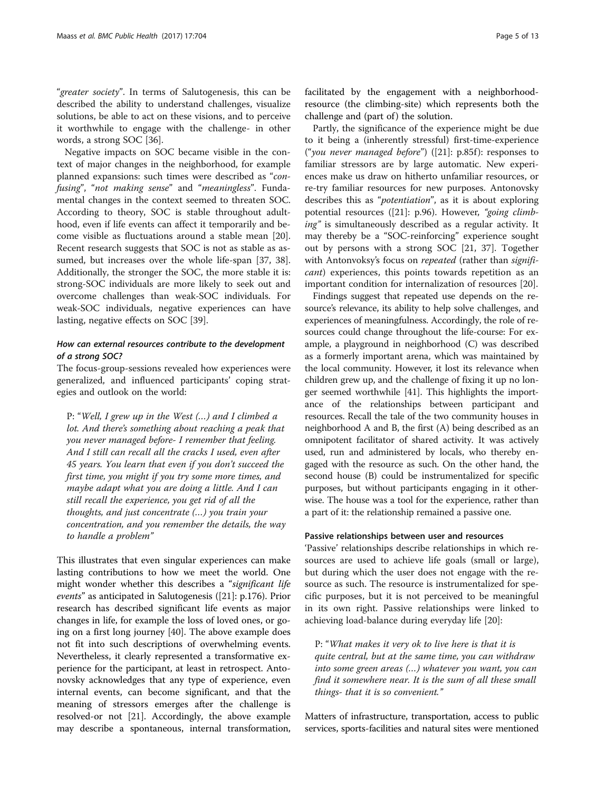"greater society". In terms of Salutogenesis, this can be described the ability to understand challenges, visualize solutions, be able to act on these visions, and to perceive it worthwhile to engage with the challenge- in other words, a strong SOC [\[36](#page-12-0)].

Negative impacts on SOC became visible in the context of major changes in the neighborhood, for example planned expansions: such times were described as "confusing", "not making sense" and "meaningless". Fundamental changes in the context seemed to threaten SOC. According to theory, SOC is stable throughout adulthood, even if life events can affect it temporarily and become visible as fluctuations around a stable mean [\[20](#page-11-0)]. Recent research suggests that SOC is not as stable as assumed, but increases over the whole life-span [\[37, 38](#page-12-0)]. Additionally, the stronger the SOC, the more stable it is: strong-SOC individuals are more likely to seek out and overcome challenges than weak-SOC individuals. For weak-SOC individuals, negative experiences can have lasting, negative effects on SOC [\[39\]](#page-12-0).

# How can external resources contribute to the development of a strong SOC?

The focus-group-sessions revealed how experiences were generalized, and influenced participants' coping strategies and outlook on the world:

P: "Well, I grew up in the West (…) and I climbed a lot. And there's something about reaching a peak that you never managed before- I remember that feeling. And I still can recall all the cracks I used, even after 45 years. You learn that even if you don't succeed the first time, you might if you try some more times, and maybe adapt what you are doing a little. And I can still recall the experience, you get rid of all the thoughts, and just concentrate (…) you train your concentration, and you remember the details, the way to handle a problem"

This illustrates that even singular experiences can make lasting contributions to how we meet the world. One might wonder whether this describes a "significant life events" as anticipated in Salutogenesis ([[21](#page-11-0)]: p.176). Prior research has described significant life events as major changes in life, for example the loss of loved ones, or going on a first long journey [[40\]](#page-12-0). The above example does not fit into such descriptions of overwhelming events. Nevertheless, it clearly represented a transformative experience for the participant, at least in retrospect. Antonovsky acknowledges that any type of experience, even internal events, can become significant, and that the meaning of stressors emerges after the challenge is resolved-or not [[21\]](#page-11-0). Accordingly, the above example may describe a spontaneous, internal transformation, facilitated by the engagement with a neighborhoodresource (the climbing-site) which represents both the challenge and (part of) the solution.

Partly, the significance of the experience might be due to it being a (inherently stressful) first-time-experience ("you never managed before") ([\[21](#page-11-0)]:  $p.85f$ ): responses to familiar stressors are by large automatic. New experiences make us draw on hitherto unfamiliar resources, or re-try familiar resources for new purposes. Antonovsky describes this as "potentiation", as it is about exploring potential resources ([[21](#page-11-0)]: p.96). However, "going climbing" is simultaneously described as a regular activity. It may thereby be a "SOC-reinforcing" experience sought out by persons with a strong SOC [\[21](#page-11-0), [37\]](#page-12-0). Together with Antonvoksy's focus on *repeated* (rather than *signifi*cant) experiences, this points towards repetition as an important condition for internalization of resources [[20\]](#page-11-0).

Findings suggest that repeated use depends on the resource's relevance, its ability to help solve challenges, and experiences of meaningfulness. Accordingly, the role of resources could change throughout the life-course: For example, a playground in neighborhood (C) was described as a formerly important arena, which was maintained by the local community. However, it lost its relevance when children grew up, and the challenge of fixing it up no longer seemed worthwhile [\[41\]](#page-12-0). This highlights the importance of the relationships between participant and resources. Recall the tale of the two community houses in neighborhood A and B, the first (A) being described as an omnipotent facilitator of shared activity. It was actively used, run and administered by locals, who thereby engaged with the resource as such. On the other hand, the second house (B) could be instrumentalized for specific purposes, but without participants engaging in it otherwise. The house was a tool for the experience, rather than a part of it: the relationship remained a passive one.

## Passive relationships between user and resources

'Passive' relationships describe relationships in which resources are used to achieve life goals (small or large), but during which the user does not engage with the resource as such. The resource is instrumentalized for specific purposes, but it is not perceived to be meaningful in its own right. Passive relationships were linked to achieving load-balance during everyday life [\[20\]](#page-11-0):

P: "What makes it very ok to live here is that it is quite central, but at the same time, you can withdraw into some green areas (…) whatever you want, you can find it somewhere near. It is the sum of all these small things- that it is so convenient."

Matters of infrastructure, transportation, access to public services, sports-facilities and natural sites were mentioned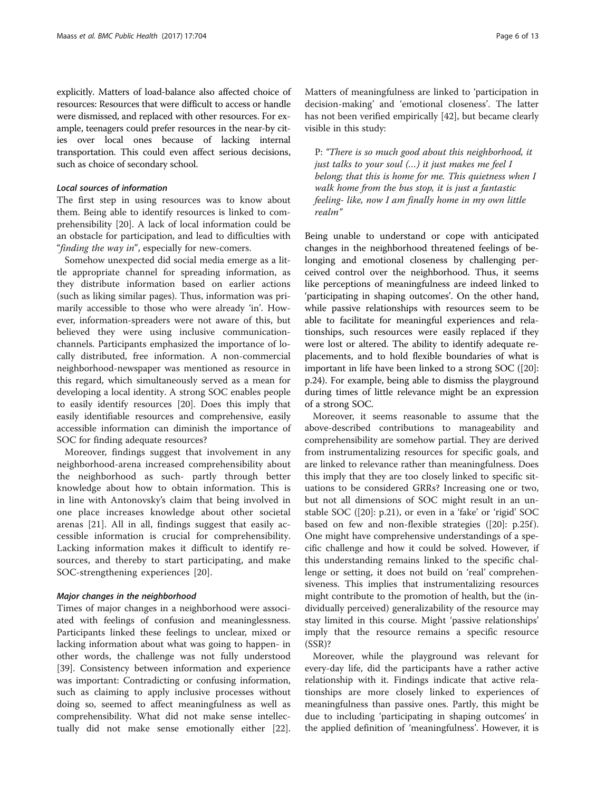explicitly. Matters of load-balance also affected choice of resources: Resources that were difficult to access or handle were dismissed, and replaced with other resources. For example, teenagers could prefer resources in the near-by cities over local ones because of lacking internal transportation. This could even affect serious decisions, such as choice of secondary school.

# Local sources of information

The first step in using resources was to know about them. Being able to identify resources is linked to comprehensibility [[20\]](#page-11-0). A lack of local information could be an obstacle for participation, and lead to difficulties with "finding the way in", especially for new-comers.

Somehow unexpected did social media emerge as a little appropriate channel for spreading information, as they distribute information based on earlier actions (such as liking similar pages). Thus, information was primarily accessible to those who were already 'in'. However, information-spreaders were not aware of this, but believed they were using inclusive communicationchannels. Participants emphasized the importance of locally distributed, free information. A non-commercial neighborhood-newspaper was mentioned as resource in this regard, which simultaneously served as a mean for developing a local identity. A strong SOC enables people to easily identify resources [\[20](#page-11-0)]. Does this imply that easily identifiable resources and comprehensive, easily accessible information can diminish the importance of SOC for finding adequate resources?

Moreover, findings suggest that involvement in any neighborhood-arena increased comprehensibility about the neighborhood as such- partly through better knowledge about how to obtain information. This is in line with Antonovsky's claim that being involved in one place increases knowledge about other societal arenas [\[21](#page-11-0)]. All in all, findings suggest that easily accessible information is crucial for comprehensibility. Lacking information makes it difficult to identify resources, and thereby to start participating, and make SOC-strengthening experiences [[20\]](#page-11-0).

## Major changes in the neighborhood

Times of major changes in a neighborhood were associated with feelings of confusion and meaninglessness. Participants linked these feelings to unclear, mixed or lacking information about what was going to happen- in other words, the challenge was not fully understood [[39\]](#page-12-0). Consistency between information and experience was important: Contradicting or confusing information, such as claiming to apply inclusive processes without doing so, seemed to affect meaningfulness as well as comprehensibility. What did not make sense intellectually did not make sense emotionally either [\[22](#page-11-0)]. Matters of meaningfulness are linked to 'participation in decision-making' and 'emotional closeness'. The latter has not been verified empirically [[42\]](#page-12-0), but became clearly visible in this study:

P: "There is so much good about this neighborhood, it just talks to your soul (…) it just makes me feel I belong; that this is home for me. This quietness when I walk home from the bus stop, it is just a fantastic feeling- like, now I am finally home in my own little realm"

Being unable to understand or cope with anticipated changes in the neighborhood threatened feelings of belonging and emotional closeness by challenging perceived control over the neighborhood. Thus, it seems like perceptions of meaningfulness are indeed linked to 'participating in shaping outcomes'. On the other hand, while passive relationships with resources seem to be able to facilitate for meaningful experiences and relationships, such resources were easily replaced if they were lost or altered. The ability to identify adequate replacements, and to hold flexible boundaries of what is important in life have been linked to a strong SOC ([\[20](#page-11-0)]: p.24). For example, being able to dismiss the playground during times of little relevance might be an expression of a strong SOC.

Moreover, it seems reasonable to assume that the above-described contributions to manageability and comprehensibility are somehow partial. They are derived from instrumentalizing resources for specific goals, and are linked to relevance rather than meaningfulness. Does this imply that they are too closely linked to specific situations to be considered GRRs? Increasing one or two, but not all dimensions of SOC might result in an unstable SOC ([\[20](#page-11-0)]: p.21), or even in a 'fake' or 'rigid' SOC based on few and non-flexible strategies ([[20\]](#page-11-0): p.25f). One might have comprehensive understandings of a specific challenge and how it could be solved. However, if this understanding remains linked to the specific challenge or setting, it does not build on 'real' comprehensiveness. This implies that instrumentalizing resources might contribute to the promotion of health, but the (individually perceived) generalizability of the resource may stay limited in this course. Might 'passive relationships' imply that the resource remains a specific resource (SSR)?

Moreover, while the playground was relevant for every-day life, did the participants have a rather active relationship with it. Findings indicate that active relationships are more closely linked to experiences of meaningfulness than passive ones. Partly, this might be due to including 'participating in shaping outcomes' in the applied definition of 'meaningfulness'. However, it is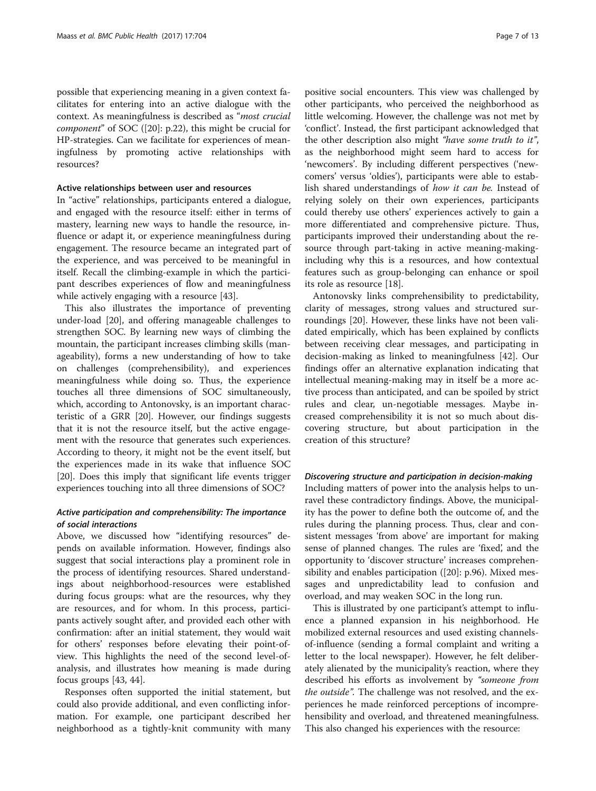possible that experiencing meaning in a given context facilitates for entering into an active dialogue with the context. As meaningfulness is described as "most crucial component" of SOC ([\[20](#page-11-0)]: p.22), this might be crucial for HP-strategies. Can we facilitate for experiences of meaningfulness by promoting active relationships with resources?

#### Active relationships between user and resources

In "active" relationships, participants entered a dialogue, and engaged with the resource itself: either in terms of mastery, learning new ways to handle the resource, influence or adapt it, or experience meaningfulness during engagement. The resource became an integrated part of the experience, and was perceived to be meaningful in itself. Recall the climbing-example in which the participant describes experiences of flow and meaningfulness while actively engaging with a resource [[43\]](#page-12-0).

This also illustrates the importance of preventing under-load [[20\]](#page-11-0), and offering manageable challenges to strengthen SOC. By learning new ways of climbing the mountain, the participant increases climbing skills (manageability), forms a new understanding of how to take on challenges (comprehensibility), and experiences meaningfulness while doing so. Thus, the experience touches all three dimensions of SOC simultaneously, which, according to Antonovsky, is an important characteristic of a GRR [\[20\]](#page-11-0). However, our findings suggests that it is not the resource itself, but the active engagement with the resource that generates such experiences. According to theory, it might not be the event itself, but the experiences made in its wake that influence SOC [[20\]](#page-11-0). Does this imply that significant life events trigger experiences touching into all three dimensions of SOC?

## Active participation and comprehensibility: The importance of social interactions

Above, we discussed how "identifying resources" depends on available information. However, findings also suggest that social interactions play a prominent role in the process of identifying resources. Shared understandings about neighborhood-resources were established during focus groups: what are the resources, why they are resources, and for whom. In this process, participants actively sought after, and provided each other with confirmation: after an initial statement, they would wait for others' responses before elevating their point-ofview. This highlights the need of the second level-ofanalysis, and illustrates how meaning is made during focus groups [\[43, 44\]](#page-12-0).

Responses often supported the initial statement, but could also provide additional, and even conflicting information. For example, one participant described her neighborhood as a tightly-knit community with many

positive social encounters. This view was challenged by other participants, who perceived the neighborhood as little welcoming. However, the challenge was not met by 'conflict'. Instead, the first participant acknowledged that the other description also might "have some truth to it", as the neighborhood might seem hard to access for 'newcomers'. By including different perspectives ('newcomers' versus 'oldies'), participants were able to establish shared understandings of how it can be. Instead of relying solely on their own experiences, participants could thereby use others' experiences actively to gain a more differentiated and comprehensive picture. Thus, participants improved their understanding about the resource through part-taking in active meaning-makingincluding why this is a resources, and how contextual features such as group-belonging can enhance or spoil its role as resource [\[18\]](#page-11-0).

Antonovsky links comprehensibility to predictability, clarity of messages, strong values and structured surroundings [\[20](#page-11-0)]. However, these links have not been validated empirically, which has been explained by conflicts between receiving clear messages, and participating in decision-making as linked to meaningfulness [\[42](#page-12-0)]. Our findings offer an alternative explanation indicating that intellectual meaning-making may in itself be a more active process than anticipated, and can be spoiled by strict rules and clear, un-negotiable messages. Maybe increased comprehensibility it is not so much about discovering structure, but about participation in the creation of this structure?

### Discovering structure and participation in decision-making

Including matters of power into the analysis helps to unravel these contradictory findings. Above, the municipality has the power to define both the outcome of, and the rules during the planning process. Thus, clear and consistent messages 'from above' are important for making sense of planned changes. The rules are 'fixed', and the opportunity to 'discover structure' increases comprehensibility and enables participation ([\[20](#page-11-0)]: p.96). Mixed messages and unpredictability lead to confusion and overload, and may weaken SOC in the long run.

This is illustrated by one participant's attempt to influence a planned expansion in his neighborhood. He mobilized external resources and used existing channelsof-influence (sending a formal complaint and writing a letter to the local newspaper). However, he felt deliberately alienated by the municipality's reaction, where they described his efforts as involvement by "someone from the outside". The challenge was not resolved, and the experiences he made reinforced perceptions of incomprehensibility and overload, and threatened meaningfulness. This also changed his experiences with the resource: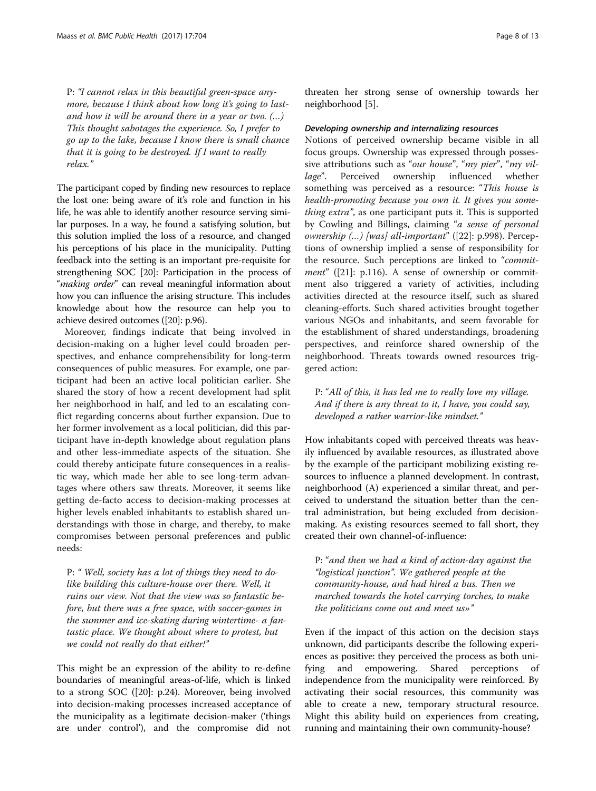P: "I cannot relax in this beautiful green-space anymore, because I think about how long it's going to lastand how it will be around there in a year or two. (…) This thought sabotages the experience. So, I prefer to go up to the lake, because I know there is small chance that it is going to be destroyed. If I want to really relax."

The participant coped by finding new resources to replace the lost one: being aware of it's role and function in his life, he was able to identify another resource serving similar purposes. In a way, he found a satisfying solution, but this solution implied the loss of a resource, and changed his perceptions of his place in the municipality. Putting feedback into the setting is an important pre-requisite for strengthening SOC [\[20\]](#page-11-0): Participation in the process of "making order" can reveal meaningful information about how you can influence the arising structure. This includes knowledge about how the resource can help you to achieve desired outcomes ([[20](#page-11-0)]: p.96).

Moreover, findings indicate that being involved in decision-making on a higher level could broaden perspectives, and enhance comprehensibility for long-term consequences of public measures. For example, one participant had been an active local politician earlier. She shared the story of how a recent development had split her neighborhood in half, and led to an escalating conflict regarding concerns about further expansion. Due to her former involvement as a local politician, did this participant have in-depth knowledge about regulation plans and other less-immediate aspects of the situation. She could thereby anticipate future consequences in a realistic way, which made her able to see long-term advantages where others saw threats. Moreover, it seems like getting de-facto access to decision-making processes at higher levels enabled inhabitants to establish shared understandings with those in charge, and thereby, to make compromises between personal preferences and public needs:

P: " Well, society has a lot of things they need to dolike building this culture-house over there. Well, it ruins our view. Not that the view was so fantastic before, but there was a free space, with soccer-games in the summer and ice-skating during wintertime- a fantastic place. We thought about where to protest, but we could not really do that either!"

This might be an expression of the ability to re-define boundaries of meaningful areas-of-life, which is linked to a strong SOC ([[20\]](#page-11-0): p.24). Moreover, being involved into decision-making processes increased acceptance of the municipality as a legitimate decision-maker ('things are under control'), and the compromise did not

threaten her strong sense of ownership towards her neighborhood [[5\]](#page-11-0).

### Developing ownership and internalizing resources

Notions of perceived ownership became visible in all focus groups. Ownership was expressed through possessive attributions such as "our house", "my pier", "my village". Perceived ownership influenced whether something was perceived as a resource: "This house is health-promoting because you own it. It gives you something extra", as one participant puts it. This is supported by Cowling and Billings, claiming "a sense of personal ownership (…) [was] all-important" ([[22\]](#page-11-0): p.998). Perceptions of ownership implied a sense of responsibility for the resource. Such perceptions are linked to "commit-ment" ([[21\]](#page-11-0): p.116). A sense of ownership or commitment also triggered a variety of activities, including activities directed at the resource itself, such as shared cleaning-efforts. Such shared activities brought together various NGOs and inhabitants, and seem favorable for the establishment of shared understandings, broadening perspectives, and reinforce shared ownership of the neighborhood. Threats towards owned resources triggered action:

P: "All of this, it has led me to really love my village. And if there is any threat to it, I have, you could say, developed a rather warrior-like mindset."

How inhabitants coped with perceived threats was heavily influenced by available resources, as illustrated above by the example of the participant mobilizing existing resources to influence a planned development. In contrast, neighborhood (A) experienced a similar threat, and perceived to understand the situation better than the central administration, but being excluded from decisionmaking. As existing resources seemed to fall short, they created their own channel-of-influence:

P: "and then we had a kind of action-day against the "logistical junction". We gathered people at the community-house, and had hired a bus. Then we marched towards the hotel carrying torches, to make the politicians come out and meet us»"

Even if the impact of this action on the decision stays unknown, did participants describe the following experiences as positive: they perceived the process as both unifying and empowering. Shared perceptions of independence from the municipality were reinforced. By activating their social resources, this community was able to create a new, temporary structural resource. Might this ability build on experiences from creating, running and maintaining their own community-house?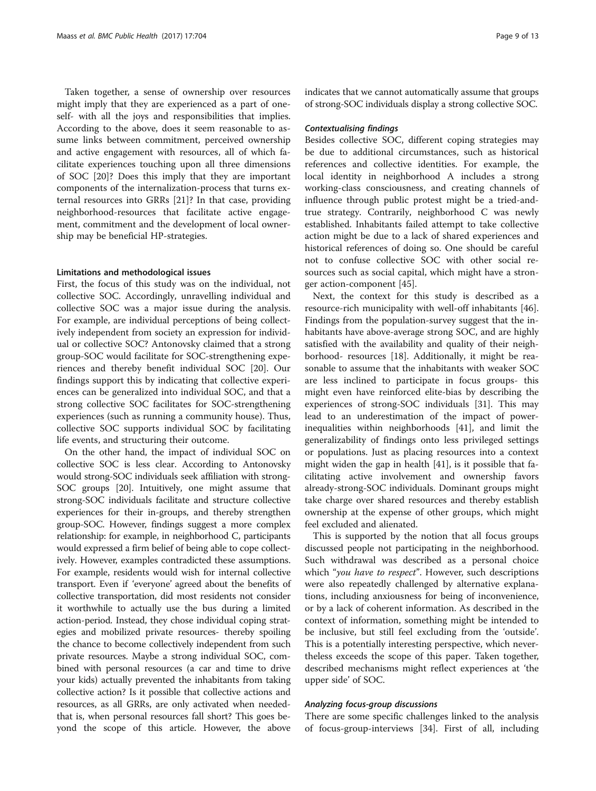Taken together, a sense of ownership over resources might imply that they are experienced as a part of oneself- with all the joys and responsibilities that implies. According to the above, does it seem reasonable to assume links between commitment, perceived ownership and active engagement with resources, all of which facilitate experiences touching upon all three dimensions of SOC [\[20](#page-11-0)]? Does this imply that they are important components of the internalization-process that turns external resources into GRRs [\[21\]](#page-11-0)? In that case, providing neighborhood-resources that facilitate active engagement, commitment and the development of local ownership may be beneficial HP-strategies.

### Limitations and methodological issues

First, the focus of this study was on the individual, not collective SOC. Accordingly, unravelling individual and collective SOC was a major issue during the analysis. For example, are individual perceptions of being collectively independent from society an expression for individual or collective SOC? Antonovsky claimed that a strong group-SOC would facilitate for SOC-strengthening experiences and thereby benefit individual SOC [\[20](#page-11-0)]. Our findings support this by indicating that collective experiences can be generalized into individual SOC, and that a strong collective SOC facilitates for SOC-strengthening experiences (such as running a community house). Thus, collective SOC supports individual SOC by facilitating life events, and structuring their outcome.

On the other hand, the impact of individual SOC on collective SOC is less clear. According to Antonovsky would strong-SOC individuals seek affiliation with strong-SOC groups [[20](#page-11-0)]. Intuitively, one might assume that strong-SOC individuals facilitate and structure collective experiences for their in-groups, and thereby strengthen group-SOC. However, findings suggest a more complex relationship: for example, in neighborhood C, participants would expressed a firm belief of being able to cope collectively. However, examples contradicted these assumptions. For example, residents would wish for internal collective transport. Even if 'everyone' agreed about the benefits of collective transportation, did most residents not consider it worthwhile to actually use the bus during a limited action-period. Instead, they chose individual coping strategies and mobilized private resources- thereby spoiling the chance to become collectively independent from such private resources. Maybe a strong individual SOC, combined with personal resources (a car and time to drive your kids) actually prevented the inhabitants from taking collective action? Is it possible that collective actions and resources, as all GRRs, are only activated when neededthat is, when personal resources fall short? This goes beyond the scope of this article. However, the above indicates that we cannot automatically assume that groups of strong-SOC individuals display a strong collective SOC.

#### Contextualising findings

Besides collective SOC, different coping strategies may be due to additional circumstances, such as historical references and collective identities. For example, the local identity in neighborhood A includes a strong working-class consciousness, and creating channels of influence through public protest might be a tried-andtrue strategy. Contrarily, neighborhood C was newly established. Inhabitants failed attempt to take collective action might be due to a lack of shared experiences and historical references of doing so. One should be careful not to confuse collective SOC with other social resources such as social capital, which might have a stronger action-component [[45](#page-12-0)].

Next, the context for this study is described as a resource-rich municipality with well-off inhabitants [\[46](#page-12-0)]. Findings from the population-survey suggest that the inhabitants have above-average strong SOC, and are highly satisfied with the availability and quality of their neighborhood- resources [[18](#page-11-0)]. Additionally, it might be reasonable to assume that the inhabitants with weaker SOC are less inclined to participate in focus groups- this might even have reinforced elite-bias by describing the experiences of strong-SOC individuals [[31](#page-11-0)]. This may lead to an underestimation of the impact of powerinequalities within neighborhoods [[41\]](#page-12-0), and limit the generalizability of findings onto less privileged settings or populations. Just as placing resources into a context might widen the gap in health [[41\]](#page-12-0), is it possible that facilitating active involvement and ownership favors already-strong-SOC individuals. Dominant groups might take charge over shared resources and thereby establish ownership at the expense of other groups, which might feel excluded and alienated.

This is supported by the notion that all focus groups discussed people not participating in the neighborhood. Such withdrawal was described as a personal choice which "you have to respect". However, such descriptions were also repeatedly challenged by alternative explanations, including anxiousness for being of inconvenience, or by a lack of coherent information. As described in the context of information, something might be intended to be inclusive, but still feel excluding from the 'outside'. This is a potentially interesting perspective, which nevertheless exceeds the scope of this paper. Taken together, described mechanisms might reflect experiences at 'the upper side' of SOC.

### Analyzing focus-group discussions

There are some specific challenges linked to the analysis of focus-group-interviews [[34](#page-11-0)]. First of all, including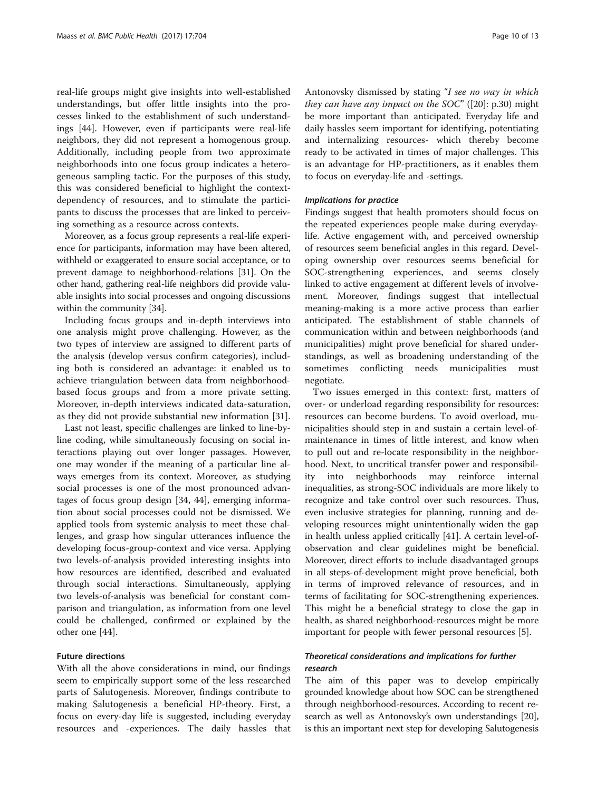real-life groups might give insights into well-established understandings, but offer little insights into the processes linked to the establishment of such understandings [[44\]](#page-12-0). However, even if participants were real-life neighbors, they did not represent a homogenous group. Additionally, including people from two approximate neighborhoods into one focus group indicates a heterogeneous sampling tactic. For the purposes of this study, this was considered beneficial to highlight the contextdependency of resources, and to stimulate the participants to discuss the processes that are linked to perceiving something as a resource across contexts.

Moreover, as a focus group represents a real-life experience for participants, information may have been altered, withheld or exaggerated to ensure social acceptance, or to prevent damage to neighborhood-relations [\[31\]](#page-11-0). On the other hand, gathering real-life neighbors did provide valuable insights into social processes and ongoing discussions within the community [[34](#page-11-0)].

Including focus groups and in-depth interviews into one analysis might prove challenging. However, as the two types of interview are assigned to different parts of the analysis (develop versus confirm categories), including both is considered an advantage: it enabled us to achieve triangulation between data from neighborhoodbased focus groups and from a more private setting. Moreover, in-depth interviews indicated data-saturation, as they did not provide substantial new information [\[31\]](#page-11-0).

Last not least, specific challenges are linked to line-byline coding, while simultaneously focusing on social interactions playing out over longer passages. However, one may wonder if the meaning of a particular line always emerges from its context. Moreover, as studying social processes is one of the most pronounced advantages of focus group design [\[34](#page-11-0), [44\]](#page-12-0), emerging information about social processes could not be dismissed. We applied tools from systemic analysis to meet these challenges, and grasp how singular utterances influence the developing focus-group-context and vice versa. Applying two levels-of-analysis provided interesting insights into how resources are identified, described and evaluated through social interactions. Simultaneously, applying two levels-of-analysis was beneficial for constant comparison and triangulation, as information from one level could be challenged, confirmed or explained by the other one [\[44](#page-12-0)].

## Future directions

With all the above considerations in mind, our findings seem to empirically support some of the less researched parts of Salutogenesis. Moreover, findings contribute to making Salutogenesis a beneficial HP-theory. First, a focus on every-day life is suggested, including everyday resources and -experiences. The daily hassles that Antonovsky dismissed by stating "I see no way in which they can have any impact on the SOC" ([\[20\]](#page-11-0): p.30) might be more important than anticipated. Everyday life and daily hassles seem important for identifying, potentiating and internalizing resources- which thereby become ready to be activated in times of major challenges. This is an advantage for HP-practitioners, as it enables them to focus on everyday-life and -settings.

## Implications for practice

Findings suggest that health promoters should focus on the repeated experiences people make during everydaylife. Active engagement with, and perceived ownership of resources seem beneficial angles in this regard. Developing ownership over resources seems beneficial for SOC-strengthening experiences, and seems closely linked to active engagement at different levels of involvement. Moreover, findings suggest that intellectual meaning-making is a more active process than earlier anticipated. The establishment of stable channels of communication within and between neighborhoods (and municipalities) might prove beneficial for shared understandings, as well as broadening understanding of the sometimes conflicting needs municipalities must negotiate.

Two issues emerged in this context: first, matters of over- or underload regarding responsibility for resources: resources can become burdens. To avoid overload, municipalities should step in and sustain a certain level-ofmaintenance in times of little interest, and know when to pull out and re-locate responsibility in the neighborhood. Next, to uncritical transfer power and responsibility into neighborhoods may reinforce internal inequalities, as strong-SOC individuals are more likely to recognize and take control over such resources. Thus, even inclusive strategies for planning, running and developing resources might unintentionally widen the gap in health unless applied critically [[41\]](#page-12-0). A certain level-ofobservation and clear guidelines might be beneficial. Moreover, direct efforts to include disadvantaged groups in all steps-of-development might prove beneficial, both in terms of improved relevance of resources, and in terms of facilitating for SOC-strengthening experiences. This might be a beneficial strategy to close the gap in health, as shared neighborhood-resources might be more important for people with fewer personal resources [\[5](#page-11-0)].

# Theoretical considerations and implications for further research

The aim of this paper was to develop empirically grounded knowledge about how SOC can be strengthened through neighborhood-resources. According to recent research as well as Antonovsky's own understandings [[20](#page-11-0)], is this an important next step for developing Salutogenesis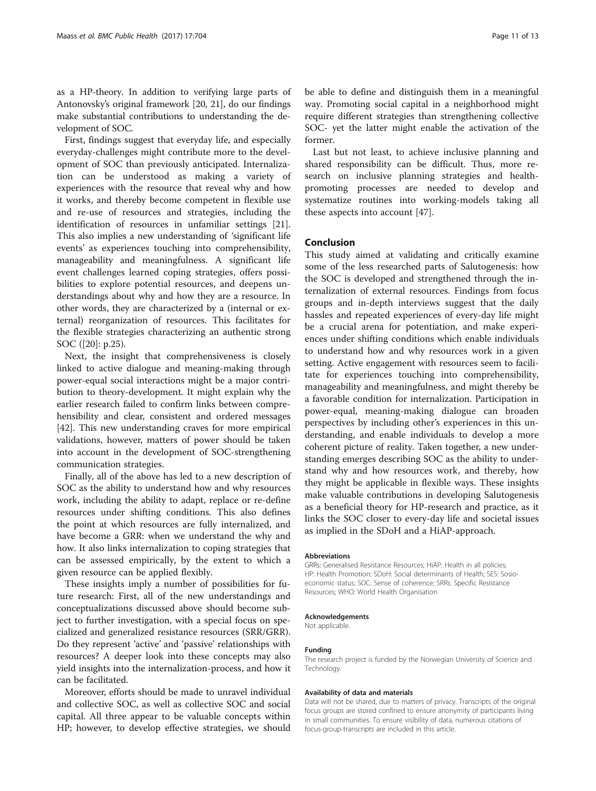as a HP-theory. In addition to verifying large parts of Antonovsky's original framework [[20](#page-11-0), [21](#page-11-0)], do our findings make substantial contributions to understanding the development of SOC.

First, findings suggest that everyday life, and especially everyday-challenges might contribute more to the development of SOC than previously anticipated. Internalization can be understood as making a variety of experiences with the resource that reveal why and how it works, and thereby become competent in flexible use and re-use of resources and strategies, including the identification of resources in unfamiliar settings [\[21](#page-11-0)]. This also implies a new understanding of 'significant life events' as experiences touching into comprehensibility, manageability and meaningfulness. A significant life event challenges learned coping strategies, offers possibilities to explore potential resources, and deepens understandings about why and how they are a resource. In other words, they are characterized by a (internal or external) reorganization of resources. This facilitates for the flexible strategies characterizing an authentic strong SOC ([\[20](#page-11-0)]: p.25).

Next, the insight that comprehensiveness is closely linked to active dialogue and meaning-making through power-equal social interactions might be a major contribution to theory-development. It might explain why the earlier research failed to confirm links between comprehensibility and clear, consistent and ordered messages [[42\]](#page-12-0). This new understanding craves for more empirical validations, however, matters of power should be taken into account in the development of SOC-strengthening communication strategies.

Finally, all of the above has led to a new description of SOC as the ability to understand how and why resources work, including the ability to adapt, replace or re-define resources under shifting conditions. This also defines the point at which resources are fully internalized, and have become a GRR: when we understand the why and how. It also links internalization to coping strategies that can be assessed empirically, by the extent to which a given resource can be applied flexibly.

These insights imply a number of possibilities for future research: First, all of the new understandings and conceptualizations discussed above should become subject to further investigation, with a special focus on specialized and generalized resistance resources (SRR/GRR). Do they represent 'active' and 'passive' relationships with resources? A deeper look into these concepts may also yield insights into the internalization-process, and how it can be facilitated.

Moreover, efforts should be made to unravel individual and collective SOC, as well as collective SOC and social capital. All three appear to be valuable concepts within HP; however, to develop effective strategies, we should

be able to define and distinguish them in a meaningful way. Promoting social capital in a neighborhood might require different strategies than strengthening collective SOC- yet the latter might enable the activation of the former.

Last but not least, to achieve inclusive planning and shared responsibility can be difficult. Thus, more research on inclusive planning strategies and healthpromoting processes are needed to develop and systematize routines into working-models taking all these aspects into account [[47](#page-12-0)].

## Conclusion

This study aimed at validating and critically examine some of the less researched parts of Salutogenesis: how the SOC is developed and strengthened through the internalization of external resources. Findings from focus groups and in-depth interviews suggest that the daily hassles and repeated experiences of every-day life might be a crucial arena for potentiation, and make experiences under shifting conditions which enable individuals to understand how and why resources work in a given setting. Active engagement with resources seem to facilitate for experiences touching into comprehensibility, manageability and meaningfulness, and might thereby be a favorable condition for internalization. Participation in power-equal, meaning-making dialogue can broaden perspectives by including other's experiences in this understanding, and enable individuals to develop a more coherent picture of reality. Taken together, a new understanding emerges describing SOC as the ability to understand why and how resources work, and thereby, how they might be applicable in flexible ways. These insights make valuable contributions in developing Salutogenesis as a beneficial theory for HP-research and practice, as it links the SOC closer to every-day life and societal issues as implied in the SDoH and a HiAP-approach.

#### Abbreviations

GRRs: Generalised Resistance Resources; HiAP: Health in all policies; HP: Health Promotion; SDoH: Social determinants of Health; SES: Sosioeconomic status; SOC: Sense of coherence; SRRs: Specific Resistance Resources; WHO: World Health Organisation

#### Acknowledgements

Not applicable.

#### Funding

The research project is funded by the Norwegian University of Science and **Technology** 

#### Availability of data and materials

Data will not be shared, due to matters of privacy. Transcripts of the original focus groups are stored confined to ensure anonymity of participants living in small communities. To ensure visibility of data, numerous citations of focus-group-transcripts are included in this article.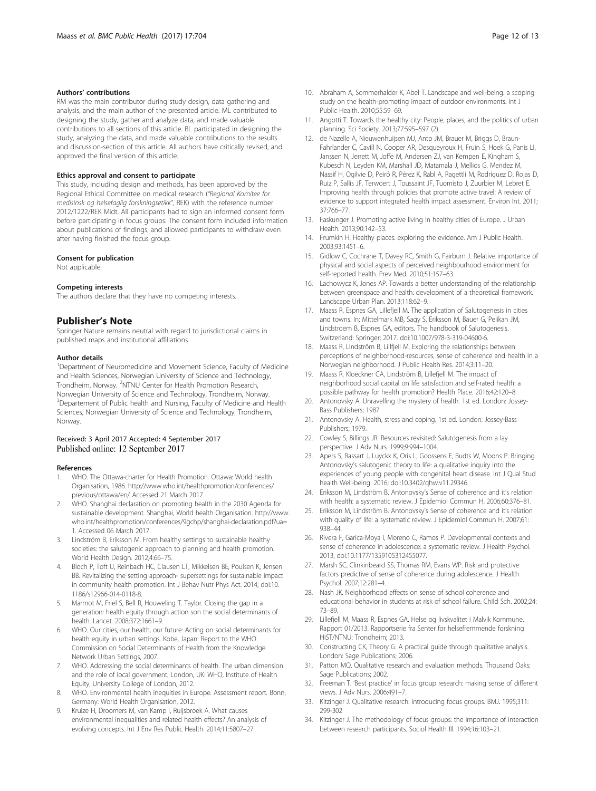## <span id="page-11-0"></span>Authors' contributions

RM was the main contributor during study design, data gathering and analysis, and the main author of the presented article. ML contributed to designing the study, gather and analyze data, and made valuable contributions to all sections of this article. BL participated in designing the study, analyzing the data, and made valuable contributions to the results and discussion-section of this article. All authors have critically revised, and approved the final version of this article.

#### Ethics approval and consent to participate

This study, including design and methods, has been approved by the Regional Ethical Committee on medical research ("Regional Komitee for medisinsk og helsefaglig forskningsetikk", REK) with the reference number 2012/1222/REK Midt. All participants had to sign an informed consent form before participating in focus groups. The consent form included information about publications of findings, and allowed participants to withdraw even after having finished the focus group.

#### Consent for publication

Not applicable.

#### Competing interests

The authors declare that they have no competing interests.

## Publisher's Note

Springer Nature remains neutral with regard to jurisdictional claims in published maps and institutional affiliations.

#### Author details

<sup>1</sup>Department of Neuromedicine and Movement Science, Faculty of Medicine and Health Sciences, Norwegian University of Science and Technology, Trondheim, Norway. <sup>2</sup>NTNU Center for Health Promotion Research, Norwegian University of Science and Technology, Trondheim, Norway. <sup>3</sup>Departement of Public health and Nursing, Faculty of Medicine and Health Sciences, Norwegian University of Science and Technology, Trondheim, **Norway** 

#### Received: 3 April 2017 Accepted: 4 September 2017 Published online: 12 September 2017

## References

- 1. WHO. The Ottawa-charter for Health Promotion. Ottawa: World health Organisation, 1986. [http://www.who.int/healthpromotion/conferences/](http://www.who.int/healthpromotion/conferences/previous/ottawa/en/) [previous/ottawa/en/](http://www.who.int/healthpromotion/conferences/previous/ottawa/en/) Accessed 21 March 2017.
- 2. WHO. Shanghai declaration on promoting health in the 2030 Agenda for sustainable development. Shanghai, World health Organisation. [http://www.](http://www.who.int/healthpromotion/conferences/9gchp/shanghai-declaration.pdf?ua=1) [who.int/healthpromotion/conferences/9gchp/shanghai-declaration.pdf?ua=](http://www.who.int/healthpromotion/conferences/9gchp/shanghai-declaration.pdf?ua=1) [1](http://www.who.int/healthpromotion/conferences/9gchp/shanghai-declaration.pdf?ua=1). Accessed 06 March 2017.
- 3. Lindström B, Eriksson M. From healthy settings to sustainable healthy societies: the salutogenic approach to planning and health promotion. World Health Design. 2012;4:66–75.
- 4. Bloch P, Toft U, Reinbach HC, Clausen LT, Mikkelsen BE, Poulsen K, Jensen BB. Revitalizing the setting approach- supersettings for sustainable impact in community health promotion. Int J Behav Nutr Phys Act. 2014; doi:[10.](http://dx.doi.org/10.1186/s12966-014-0118-8) [1186/s12966-014-0118-8.](http://dx.doi.org/10.1186/s12966-014-0118-8)
- 5. Marmot M, Friel S, Bell R, Houweling T. Taylor. Closing the gap in a generation: health equity through action son the social determinants of health. Lancet. 2008;372:1661–9.
- 6. WHO. Our cities, our health, our future: Acting on social determinants for health equity in urban settings. Kobe, Japan: Report to the WHO Commission on Social Determinants of Health from the Knowledge Network Urban Settings, 2007.
- 7. WHO. Addressing the social determinants of health. The urban dimension and the role of local government. London, UK: WHO, Institute of Health Equity, University College of London, 2012.
- WHO. Environmental health inequities in Europe. Assessment report. Bonn, Germany: World Health Organisation, 2012.
- 9. Kruize H, Droomers M, van Kamp I, Ruijsbroek A. What causes environmental inequalities and related health effects? An analysis of evolving concepts. Int J Env Res Public Health. 2014;11:5807–27.
- 10. Abraham A, Sommerhalder K, Abel T. Landscape and well-being: a scoping study on the health-promoting impact of outdoor environments. Int J Public Health. 2010;55:59–69.
- 11. Angotti T. Towards the healthy city: People, places, and the politics of urban planning. Sci Society. 2013;77:595–597 (2).
- 12. de Nazelle A, Nieuwenhuijsen MJ, Anto JM, Brauer M, Briggs D, Braun-Fahrlander C, Cavill N, Cooper AR, Desqueyroux H, Fruin S, Hoek G, Panis LI, Janssen N, Jerrett M, Joffe M, Andersen ZJ, van Kempen E, Kingham S, Kubesch N, Leyden KM, Marshall JD, Matamala J, Mellios G, Mendez M, Nassif H, Ogilvie D, Peiró R, Pérez K, Rabl A, Ragettli M, Rodríguez D, Rojas D, Ruiz P, Sallis JF, Terwoert J, Toussaint JF, Tuomisto J, Zuurbier M, Lebret E. Improving health through policies that promote active travel: A review of evidence to support integrated health impact assessment. Environ Int. 2011; 37:766–77.
- 13. Faskunger J. Promoting active living in healthy cities of Europe. J Urban Health. 2013;90:142–53.
- 14. Frumkin H. Healthy places: exploring the evidence. Am J Public Health. 2003;93:1451–6.
- 15. Gidlow C, Cochrane T, Davey RC, Smith G, Fairburn J. Relative importance of physical and social aspects of perceived neighbourhood environment for self-reported health. Prev Med. 2010;51:157–63.
- 16. Lachowycz K, Jones AP. Towards a better understanding of the relationship between greenspace and health: development of a theoretical framework. Landscape Urban Plan. 2013;118:62–9.
- 17. Maass R, Espnes GA, Lillefjell M. The application of Salutogenesis in cities and towns. In: Mittelmark MB, Sagy S, Eriksson M, Bauer G, Pelikan JM, Lindstroem B, Espnes GA, editors. The handbook of Salutogenesis. Switzerland: Springer; 2017. doi[:10.1007/978-3-319-04600-6.](http://dx.doi.org/10.1007/978-3-319-04600-6)
- 18. Maass R, Lindström B, Lillfjell M. Exploring the relationships between perceptions of neighborhood-resources, sense of coherence and health in a Norwegian neighborhood. J Public Health Res. 2014;3:11–20.
- 19. Maass R, Kloeckner CA, Lindström B, Lillefjell M. The impact of neighborhood social capital on life satisfaction and self-rated health: a possible pathway for health promotion? Health Place. 2016;42:120–8.
- 20. Antonovsky A. Unravelling the mystery of health. 1st ed. London: Jossey-Bass Publishers; 1987.
- 21. Antonovsky A. Health, stress and coping. 1st ed. London: Jossey-Bass Publishers; 1979.
- 22. Cowley S, Billings JR. Resources revisited: Salutogenesis from a lay perspective. J Adv Nurs. 1999;9:994–1004.
- 23. Apers S, Rassart J, Luyckx K, Oris L, Goossens E, Budts W, Moons P. Bringing Antonovsky's salutogenic theory to life: a qualitative inquiry into the experiences of young people with congenital heart disease. Int J Qual Stud health Well-being. 2016; doi:[10.3402/qhw.v11.29346](http://dx.doi.org/10.3402/qhw.v11.29346).
- 24. Eriksson M, Lindström B. Antonovsky's Sense of coherence and it's relation with health: a systematic review. J Epidemiol Commun H. 2006;60:376–81.
- 25. Eriksson M, Lindström B. Antonovsky's Sense of coherence and it's relation with quality of life: a systematic review. J Epidemiol Commun H. 2007;61: 938–44.
- 26. Rivera F, Garica-Moya I, Moreno C, Ramos P. Developmental contexts and sense of coherence in adolescence: a systematic review. J Health Psychol. 2013; doi[:10.1177/1359105312455077.](http://dx.doi.org/10.1177/1359105312455077)
- 27. Marsh SC, Clinkinbeard SS, Thomas RM, Evans WP. Risk and protective factors predictive of sense of coherence during adolescence. J Health Psychol. 2007;12:281–4.
- 28. Nash JK. Neighborhood effects on sense of school coherence and educational behavior in students at risk of school failure. Child Sch. 2002;24: 73–89.
- 29. Lillefjell M, Maass R, Espnes GA. Helse og livskvalitet i Malvik Kommune. Rapport 01/2013. Rapportserie fra Senter for helsefremmende forskning HiST/NTNU: Trondheim; 2013.
- 30. Constructing CK, Theory G. A practical guide through qualitative analysis. London: Sage Publications; 2006.
- 31. Patton MQ. Qualitative research and evaluation methods. Thousand Oaks: Sage Publications; 2002.
- 32. Freeman T. 'Best practice' in focus group research: making sense of different views. J Adv Nurs. 2006:491–7.
- 33. Kitzinger J. Qualitative research: introducing focus groups. BMJ. 1995;311: 299-302
- 34. Kitzinger J. The methodology of focus groups: the importance of interaction between research participants. Sociol Health Ill. 1994;16:103–21.